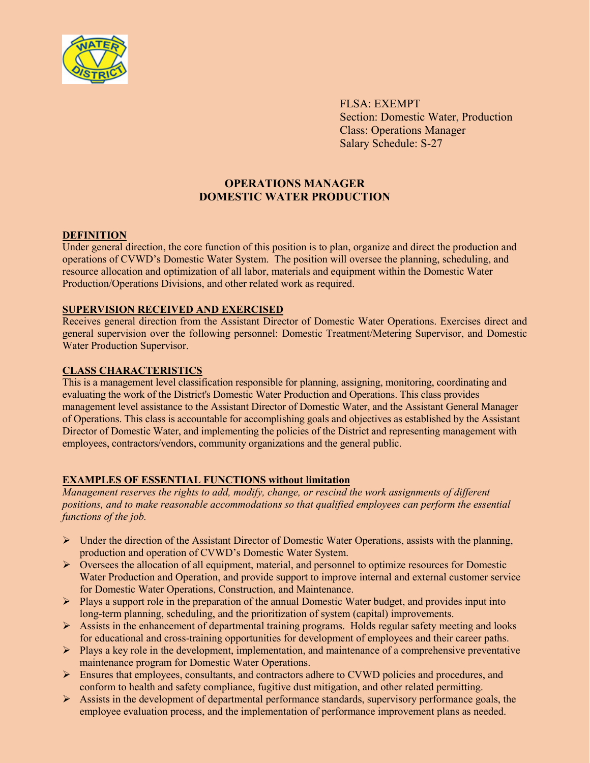

FLSA: EXEMPT Section: Domestic Water, Production Class: Operations Manager Salary Schedule: S-27

# **OPERATIONS MANAGER DOMESTIC WATER PRODUCTION**

### **DEFINITION**

Under general direction, the core function of this position is to plan, organize and direct the production and operations of CVWD's Domestic Water System. The position will oversee the planning, scheduling, and resource allocation and optimization of all labor, materials and equipment within the Domestic Water Production/Operations Divisions, and other related work as required.

### **SUPERVISION RECEIVED AND EXERCISED**

Receives general direction from the Assistant Director of Domestic Water Operations. Exercises direct and general supervision over the following personnel: Domestic Treatment/Metering Supervisor, and Domestic Water Production Supervisor.

## **CLASS CHARACTERISTICS**

This is a management level classification responsible for planning, assigning, monitoring, coordinating and evaluating the work of the District's Domestic Water Production and Operations. This class provides management level assistance to the Assistant Director of Domestic Water, and the Assistant General Manager of Operations. This class is accountable for accomplishing goals and objectives as established by the Assistant Director of Domestic Water, and implementing the policies of the District and representing management with employees, contractors/vendors, community organizations and the general public.

# **EXAMPLES OF ESSENTIAL FUNCTIONS without limitation**

*Management reserves the rights to add, modify, change, or rescind the work assignments of different positions, and to make reasonable accommodations so that qualified employees can perform the essential functions of the job.*

- $\triangleright$  Under the direction of the Assistant Director of Domestic Water Operations, assists with the planning, production and operation of CVWD's Domestic Water System.
- $\triangleright$  Oversees the allocation of all equipment, material, and personnel to optimize resources for Domestic Water Production and Operation, and provide support to improve internal and external customer service for Domestic Water Operations, Construction, and Maintenance.
- $\triangleright$  Plays a support role in the preparation of the annual Domestic Water budget, and provides input into long-term planning, scheduling, and the prioritization of system (capital) improvements.
- $\triangleright$  Assists in the enhancement of departmental training programs. Holds regular safety meeting and looks for educational and cross-training opportunities for development of employees and their career paths.
- $\triangleright$  Plays a key role in the development, implementation, and maintenance of a comprehensive preventative maintenance program for Domestic Water Operations.
- $\triangleright$  Ensures that employees, consultants, and contractors adhere to CVWD policies and procedures, and conform to health and safety compliance, fugitive dust mitigation, and other related permitting.
- $\triangleright$  Assists in the development of departmental performance standards, supervisory performance goals, the employee evaluation process, and the implementation of performance improvement plans as needed.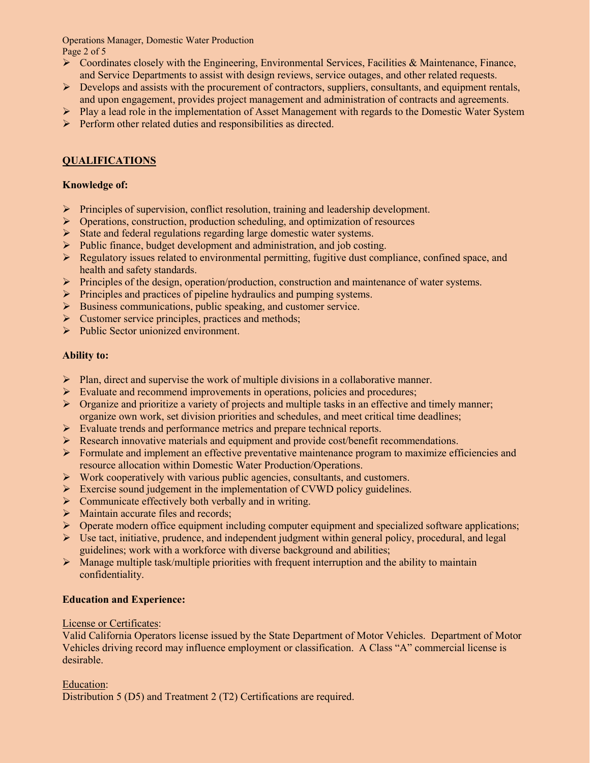Operations Manager, Domestic Water Production Page 2 of 5

- $\triangleright$  Coordinates closely with the Engineering, Environmental Services, Facilities & Maintenance, Finance, and Service Departments to assist with design reviews, service outages, and other related requests.
- $\triangleright$  Develops and assists with the procurement of contractors, suppliers, consultants, and equipment rentals, and upon engagement, provides project management and administration of contracts and agreements.
- $\triangleright$  Play a lead role in the implementation of Asset Management with regards to the Domestic Water System
- $\triangleright$  Perform other related duties and responsibilities as directed.

# **QUALIFICATIONS**

# **Knowledge of:**

- Principles of supervision, conflict resolution, training and leadership development.
- $\triangleright$  Operations, construction, production scheduling, and optimization of resources
- $\triangleright$  State and federal regulations regarding large domestic water systems.
- $\triangleright$  Public finance, budget development and administration, and job costing.
- $\triangleright$  Regulatory issues related to environmental permitting, fugitive dust compliance, confined space, and health and safety standards.
- Principles of the design, operation/production, construction and maintenance of water systems.
- $\triangleright$  Principles and practices of pipeline hydraulics and pumping systems.
- $\triangleright$  Business communications, public speaking, and customer service.
- $\triangleright$  Customer service principles, practices and methods;
- $\triangleright$  Public Sector unionized environment.

## **Ability to:**

- $\triangleright$  Plan, direct and supervise the work of multiple divisions in a collaborative manner.
- $\triangleright$  Evaluate and recommend improvements in operations, policies and procedures;
- $\triangleright$  Organize and prioritize a variety of projects and multiple tasks in an effective and timely manner; organize own work, set division priorities and schedules, and meet critical time deadlines;
- Evaluate trends and performance metrics and prepare technical reports.
- $\triangleright$  Research innovative materials and equipment and provide cost/benefit recommendations.
- **Formulate and implement an effective preventative maintenance program to maximize efficiencies and** resource allocation within Domestic Water Production/Operations.
- $\triangleright$  Work cooperatively with various public agencies, consultants, and customers.
- Exercise sound judgement in the implementation of CVWD policy guidelines.
- $\triangleright$  Communicate effectively both verbally and in writing.
- $\triangleright$  Maintain accurate files and records;
- $\triangleright$  Operate modern office equipment including computer equipment and specialized software applications;
- $\triangleright$  Use tact, initiative, prudence, and independent judgment within general policy, procedural, and legal guidelines; work with a workforce with diverse background and abilities;
- $\triangleright$  Manage multiple task/multiple priorities with frequent interruption and the ability to maintain confidentiality.

# **Education and Experience:**

### License or Certificates:

Valid California Operators license issued by the State Department of Motor Vehicles. Department of Motor Vehicles driving record may influence employment or classification. A Class "A" commercial license is desirable.

### Education:

Distribution 5 (D5) and Treatment 2 (T2) Certifications are required.